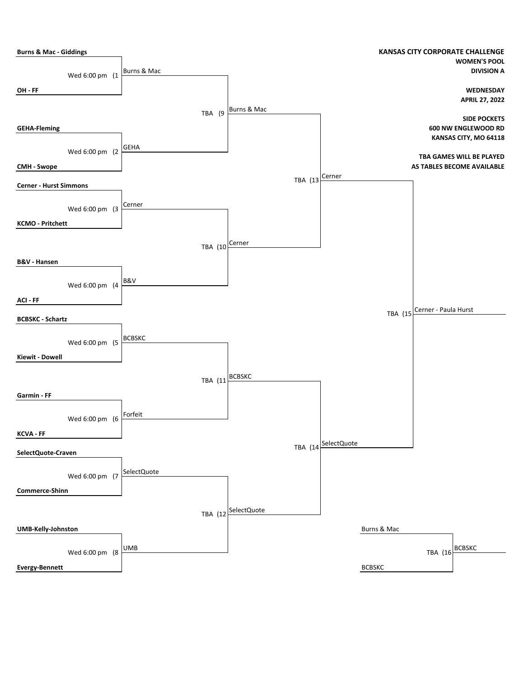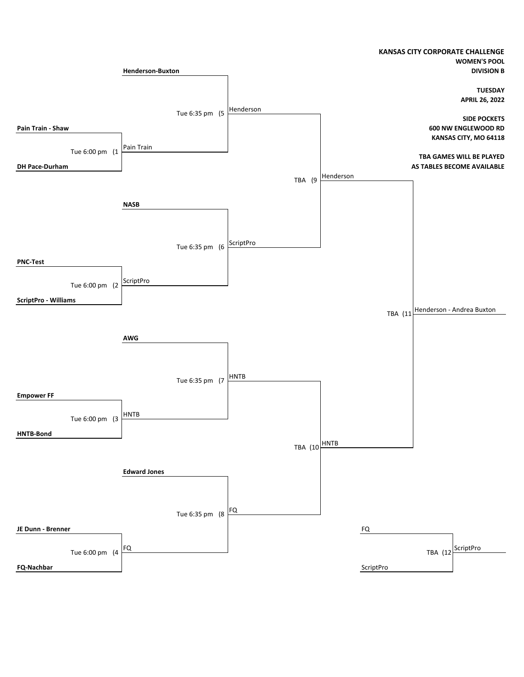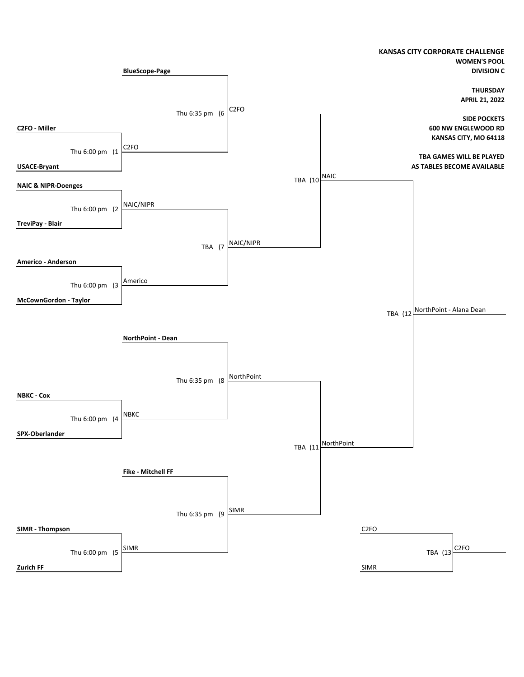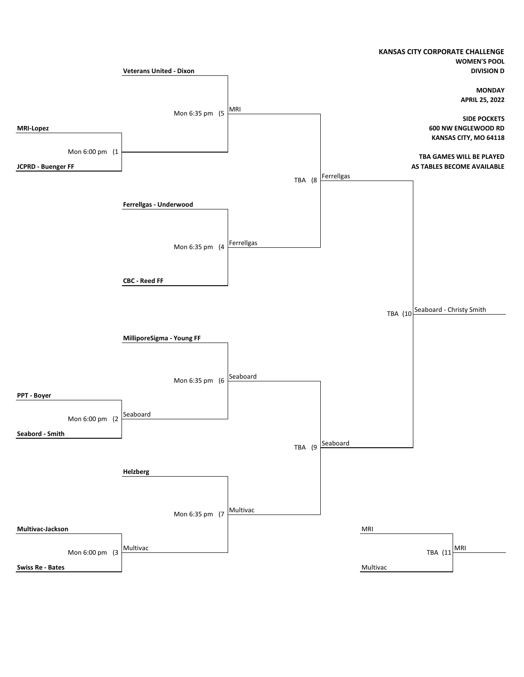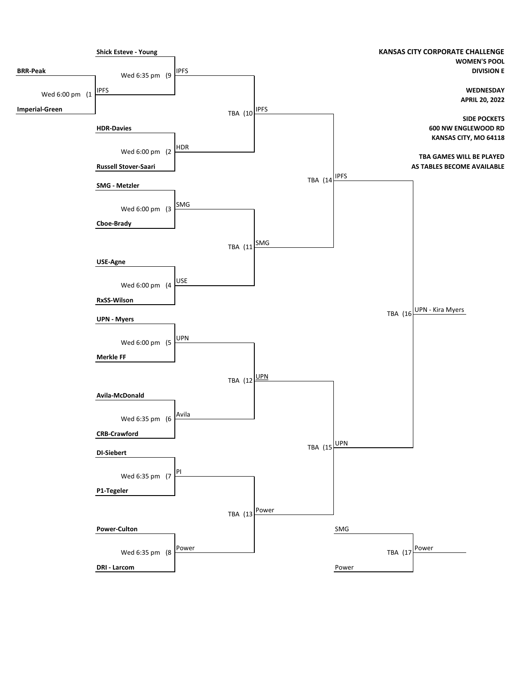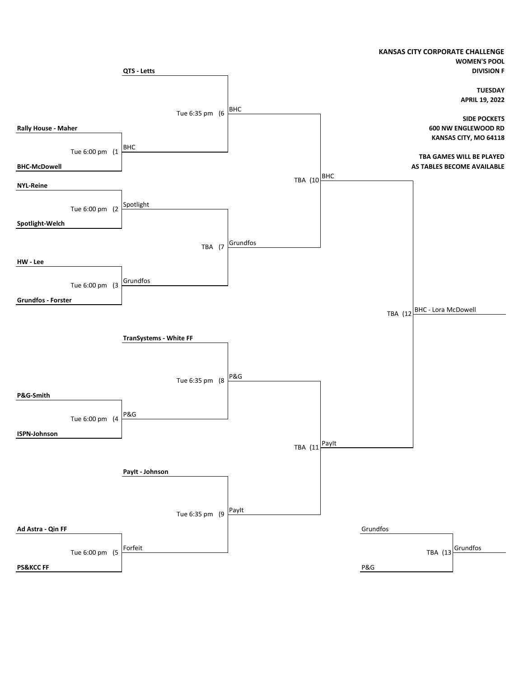